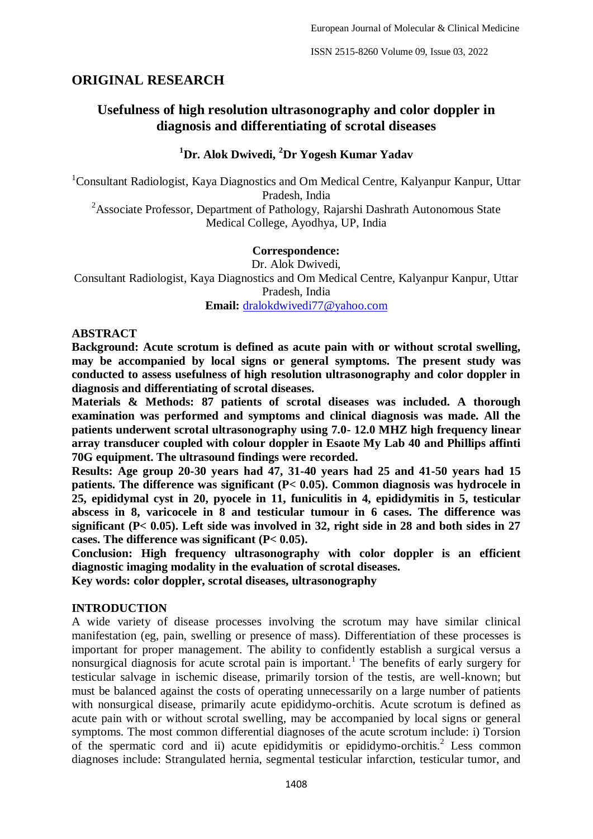# **ORIGINAL RESEARCH**

# **Usefulness of high resolution ultrasonography and color doppler in diagnosis and differentiating of scrotal diseases**

### **<sup>1</sup>Dr. Alok Dwivedi, <sup>2</sup>Dr Yogesh Kumar Yadav**

<sup>1</sup>Consultant Radiologist, Kaya Diagnostics and Om Medical Centre, Kalyanpur Kanpur, Uttar Pradesh, India <sup>2</sup>Associate Professor, Department of Pathology, Rajarshi Dashrath Autonomous State Medical College, Ayodhya, UP, India

### **Correspondence:**

Dr. Alok Dwivedi, Consultant Radiologist, Kaya Diagnostics and Om Medical Centre, Kalyanpur Kanpur, Uttar Pradesh, India **Email:** [dralokdwivedi77@yahoo.com](mailto:dralokdwivedi77@yahoo.com)

#### **ABSTRACT**

**Background: Acute scrotum is defined as acute pain with or without scrotal swelling, may be accompanied by local signs or general symptoms. The present study was conducted to assess usefulness of high resolution ultrasonography and color doppler in diagnosis and differentiating of scrotal diseases.**

**Materials & Methods: 87 patients of scrotal diseases was included. A thorough examination was performed and symptoms and clinical diagnosis was made. All the patients underwent scrotal ultrasonography using 7.0- 12.0 MHZ high frequency linear array transducer coupled with colour doppler in Esaote My Lab 40 and Phillips affinti 70G equipment. The ultrasound findings were recorded.**

**Results: Age group 20-30 years had 47, 31-40 years had 25 and 41-50 years had 15 patients. The difference was significant (P< 0.05). Common diagnosis was hydrocele in 25, epididymal cyst in 20, pyocele in 11, funiculitis in 4, epididymitis in 5, testicular abscess in 8, varicocele in 8 and testicular tumour in 6 cases. The difference was significant (P< 0.05). Left side was involved in 32, right side in 28 and both sides in 27 cases. The difference was significant (P< 0.05).**

**Conclusion: High frequency ultrasonography with color doppler is an efficient diagnostic imaging modality in the evaluation of scrotal diseases.**

**Key words: color doppler, scrotal diseases, ultrasonography**

### **INTRODUCTION**

A wide variety of disease processes involving the scrotum may have similar clinical manifestation (eg, pain, swelling or presence of mass). Differentiation of these processes is important for proper management. The ability to confidently establish a surgical versus a nonsurgical diagnosis for acute scrotal pain is important.<sup>1</sup> The benefits of early surgery for testicular salvage in ischemic disease, primarily torsion of the testis, are well-known; but must be balanced against the costs of operating unnecessarily on a large number of patients with nonsurgical disease, primarily acute epididymo-orchitis. Acute scrotum is defined as acute pain with or without scrotal swelling, may be accompanied by local signs or general symptoms. The most common differential diagnoses of the acute scrotum include: i) Torsion of the spermatic cord and ii) acute epididymitis or epididymo-orchitis.<sup>2</sup> Less common diagnoses include: Strangulated hernia, segmental testicular infarction, testicular tumor, and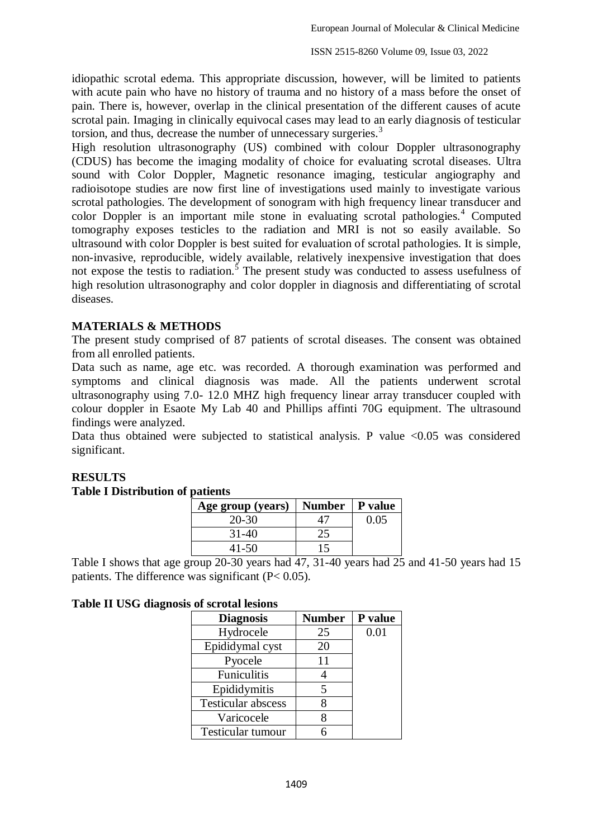idiopathic scrotal edema. This appropriate discussion, however, will be limited to patients with acute pain who have no history of trauma and no history of a mass before the onset of pain. There is, however, overlap in the clinical presentation of the different causes of acute scrotal pain. Imaging in clinically equivocal cases may lead to an early diagnosis of testicular torsion, and thus, decrease the number of unnecessary surgeries.<sup>3</sup>

High resolution ultrasonography (US) combined with colour Doppler ultrasonography (CDUS) has become the imaging modality of choice for evaluating scrotal diseases. Ultra sound with Color Doppler, Magnetic resonance imaging, testicular angiography and radioisotope studies are now first line of investigations used mainly to investigate various scrotal pathologies. The development of sonogram with high frequency linear transducer and color Doppler is an important mile stone in evaluating scrotal pathologies.<sup>4</sup> Computed tomography exposes testicles to the radiation and MRI is not so easily available. So ultrasound with color Doppler is best suited for evaluation of scrotal pathologies. It is simple, non-invasive, reproducible, widely available, relatively inexpensive investigation that does not expose the testis to radiation.<sup>5</sup> The present study was conducted to assess usefulness of high resolution ultrasonography and color doppler in diagnosis and differentiating of scrotal diseases.

### **MATERIALS & METHODS**

The present study comprised of 87 patients of scrotal diseases. The consent was obtained from all enrolled patients.

Data such as name, age etc. was recorded. A thorough examination was performed and symptoms and clinical diagnosis was made. All the patients underwent scrotal ultrasonography using 7.0- 12.0 MHZ high frequency linear array transducer coupled with colour doppler in Esaote My Lab 40 and Phillips affinti 70G equipment. The ultrasound findings were analyzed.

Data thus obtained were subjected to statistical analysis. P value  $\langle 0.05 \rangle$  was considered significant.

## **RESULTS**

#### **Table I Distribution of patients**

| Age group (years) | Number   P value |      |  |
|-------------------|------------------|------|--|
| 20-30             |                  | 0.05 |  |
| $31-40$           |                  |      |  |
| 41-50             | 15               |      |  |

Table I shows that age group 20-30 years had 47, 31-40 years had 25 and 41-50 years had 15 patients. The difference was significant (P< 0.05).

#### **Table II USG diagnosis of scrotal lesions**

| <b>Diagnosis</b>          | <b>Number</b> | P value |
|---------------------------|---------------|---------|
| Hydrocele                 | 25            | 0.01    |
| Epididymal cyst           | 20            |         |
| Pyocele                   | 11            |         |
| Funiculitis               |               |         |
| Epididymitis              | 5             |         |
| <b>Testicular abscess</b> |               |         |
| Varicocele                |               |         |
| Testicular tumour         |               |         |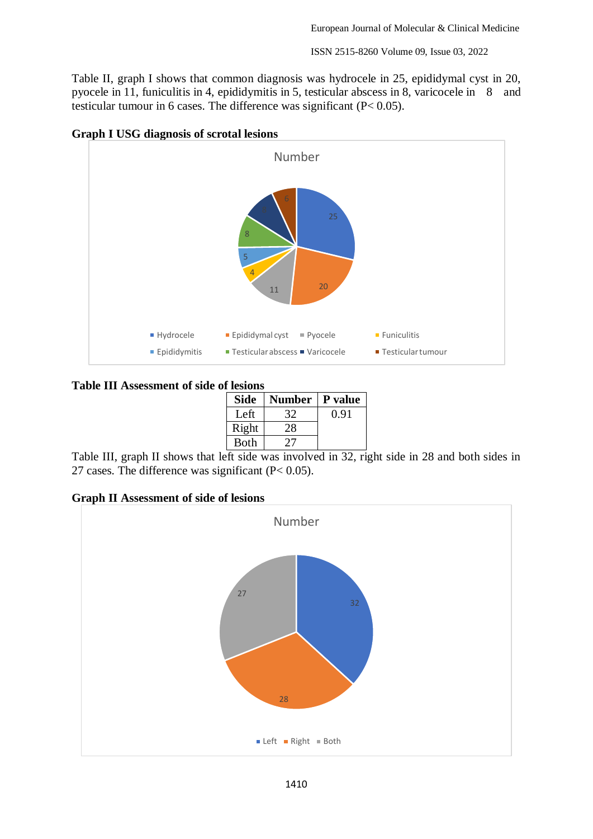ISSN 2515-8260 Volume 09, Issue 03, 2022

Table II, graph I shows that common diagnosis was hydrocele in 25, epididymal cyst in 20, pyocele in 11, funiculitis in 4, epididymitis in 5, testicular abscess in 8, varicocele in 8 and testicular tumour in 6 cases. The difference was significant (P< 0.05).



#### **Graph I USG diagnosis of scrotal lesions**

#### **Table III Assessment of side of lesions**

| <b>Side</b> | <b>Number</b> | P value |
|-------------|---------------|---------|
| Left        | 32            | 0.91    |
| Right       | 28            |         |
| <b>Both</b> | 77 I          |         |

Table III, graph II shows that left side was involved in 32, right side in 28 and both sides in 27 cases. The difference was significant (P< 0.05).

**Graph II Assessment of side of lesions**

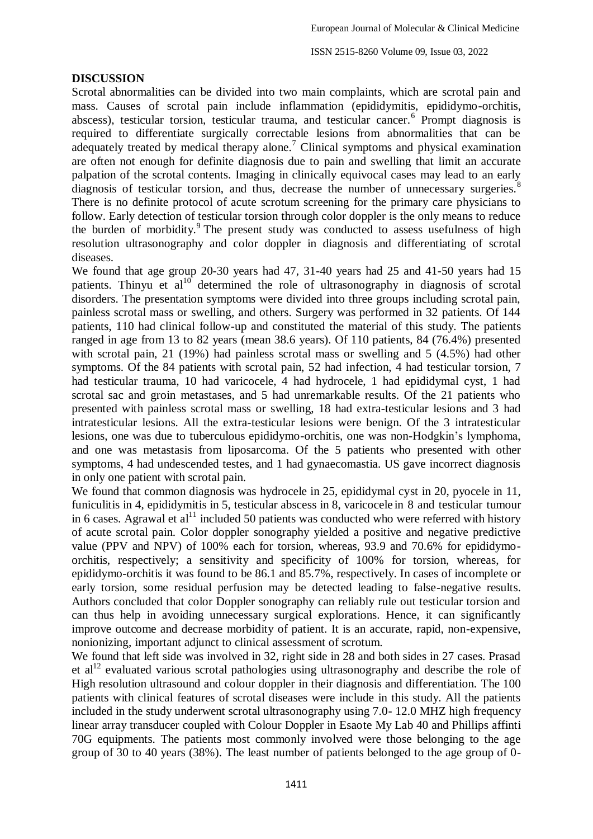ISSN 2515-8260 Volume 09, Issue 03, 2022

### **DISCUSSION**

Scrotal abnormalities can be divided into two main complaints, which are scrotal pain and mass. Causes of scrotal pain include inflammation (epididymitis, epididymo-orchitis, abscess), testicular torsion, testicular trauma, and testicular cancer.<sup>6</sup> Prompt diagnosis is required to differentiate surgically correctable lesions from abnormalities that can be adequately treated by medical therapy alone.<sup>7</sup> Clinical symptoms and physical examination are often not enough for definite diagnosis due to pain and swelling that limit an accurate palpation of the scrotal contents. Imaging in clinically equivocal cases may lead to an early diagnosis of testicular torsion, and thus, decrease the number of unnecessary surgeries.<sup>8</sup> There is no definite protocol of acute scrotum screening for the primary care physicians to follow. Early detection of testicular torsion through color doppler is the only means to reduce the burden of morbidity.<sup>9</sup> The present study was conducted to assess usefulness of high resolution ultrasonography and color doppler in diagnosis and differentiating of scrotal diseases.

We found that age group 20-30 years had 47, 31-40 years had 25 and 41-50 years had 15 patients. Thinyu et  $al^{10}$  determined the role of ultrasonography in diagnosis of scrotal disorders. The presentation symptoms were divided into three groups including scrotal pain, painless scrotal mass or swelling, and others. Surgery was performed in 32 patients. Of 144 patients, 110 had clinical follow-up and constituted the material of this study. The patients ranged in age from 13 to 82 years (mean 38.6 years). Of 110 patients, 84 (76.4%) presented with scrotal pain, 21 (19%) had painless scrotal mass or swelling and 5 (4.5%) had other symptoms. Of the 84 patients with scrotal pain, 52 had infection, 4 had testicular torsion, 7 had testicular trauma, 10 had varicocele, 4 had hydrocele, 1 had epididymal cyst, 1 had scrotal sac and groin metastases, and 5 had unremarkable results. Of the 21 patients who presented with painless scrotal mass or swelling, 18 had extra-testicular lesions and 3 had intratesticular lesions. All the extra-testicular lesions were benign. Of the 3 intratesticular lesions, one was due to tuberculous epididymo-orchitis, one was non-Hodgkin's lymphoma, and one was metastasis from liposarcoma. Of the 5 patients who presented with other symptoms, 4 had undescended testes, and 1 had gynaecomastia. US gave incorrect diagnosis in only one patient with scrotal pain.

We found that common diagnosis was hydrocele in 25, epididymal cyst in 20, pyocele in 11, funiculitis in 4, epididymitis in 5, testicular abscess in 8, varicocele in 8 and testicular tumour in 6 cases. Agrawal et  $al<sup>11</sup>$  included 50 patients was conducted who were referred with history of acute scrotal pain. Color doppler sonography yielded a positive and negative predictive value (PPV and NPV) of 100% each for torsion, whereas, 93.9 and 70.6% for epididymoorchitis, respectively; a sensitivity and specificity of 100% for torsion, whereas, for epididymo-orchitis it was found to be 86.1 and 85.7%, respectively. In cases of incomplete or early torsion, some residual perfusion may be detected leading to false-negative results. Authors concluded that color Doppler sonography can reliably rule out testicular torsion and can thus help in avoiding unnecessary surgical explorations. Hence, it can significantly improve outcome and decrease morbidity of patient. It is an accurate, rapid, non-expensive, nonionizing, important adjunct to clinical assessment of scrotum.

We found that left side was involved in 32, right side in 28 and both sides in 27 cases. Prasad et al<sup>12</sup> evaluated various scrotal pathologies using ultrasonography and describe the role of High resolution ultrasound and colour doppler in their diagnosis and differentiation. The 100 patients with clinical features of scrotal diseases were include in this study. All the patients included in the study underwent scrotal ultrasonography using 7.0- 12.0 MHZ high frequency linear array transducer coupled with Colour Doppler in Esaote My Lab 40 and Phillips affinti 70G equipments. The patients most commonly involved were those belonging to the age group of 30 to 40 years (38%). The least number of patients belonged to the age group of 0-